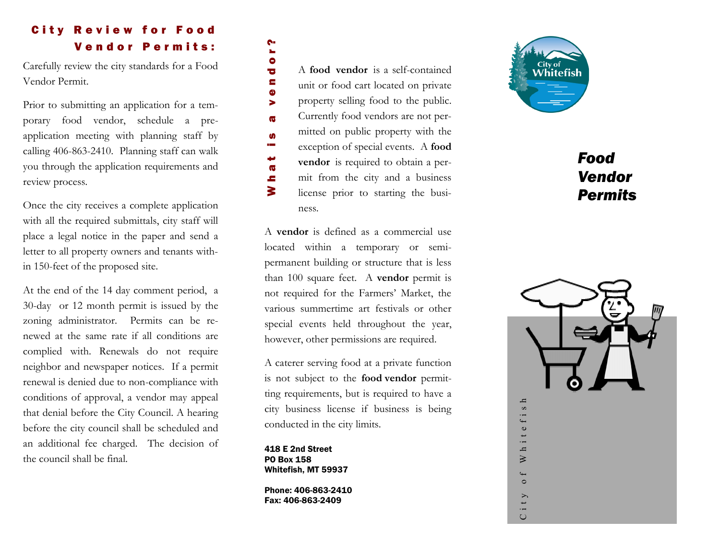# **City Review for Food** Vendor Permits:

Carefully review the city standards for a Food Vendor Permit.

Prior to submitting an application for a temporary food vendor, schedule a preapplication meeting with planning staff by calling 406 -863 -2410. Planning staff can walk you through the application requirements and review process.

Once the city receives a complete application with all the required submittals, city staff will place a legal notice in the paper and send a letter to all property owners and tenants within 150-feet of the proposed site.

At the end of the 14 day comment period, a 30 -day or 12 month permit is issued by the zoning administrator. Permits can be renewed at the same rate if all conditions are complied with. Renewals do not require neighbor and newspaper notices. If a permit renewal is denied due to non -compliance with conditions of approval, a vendor may appeal that denial before the City Council. A hearing before the city council shall be scheduled and an additional fee charged. The decision of the council shall be final.

A **food vendor** is a self-contained unit or food cart located on private property selling food to the public. Currently food vendors are not permitted on public property with the exception of special events. A **food vendor** is required to obtain a permit from the city and a business license prior to starting the business. Conducted in the city beat is and the conducted in the city beat of the city of the city license prior to state the city license prior to state of the city license prior to state of the city license prior to state of the c

A **vendor** is defined as a commercial use located within a temporary or semi permanent building or structure that is less than 100 square feet. A **vendor** permit is not required for the Farmers' Market, the various summertime art festivals or other special events held throughout the year, however, other permissions are required.

A caterer serving food at a private function is not subject to the **food vendor** permitting requirements, but is required to have a city business license if business is being

418 E 2nd Street PO Box 158 Whitefish, MT 59937

Phone: 406-863-2410 Fax: 406 -863 -2409



# *Food Vendor Permits*